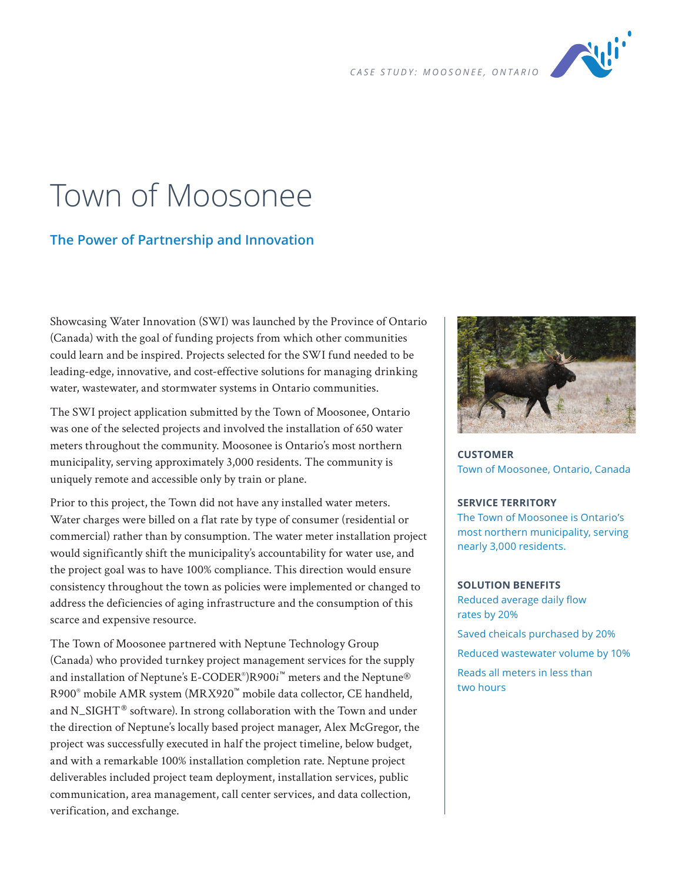

# Town of Moosonee

## **The Power of Partnership and Innovation**

Showcasing Water Innovation (SWI) was launched by the Province of Ontario (Canada) with the goal of funding projects from which other communities could learn and be inspired. Projects selected for the SWI fund needed to be leading-edge, innovative, and cost-effective solutions for managing drinking water, wastewater, and stormwater systems in Ontario communities.

The SWI project application submitted by the Town of Moosonee, Ontario was one of the selected projects and involved the installation of 650 water meters throughout the community. Moosonee is Ontario's most northern municipality, serving approximately 3,000 residents. The community is uniquely remote and accessible only by train or plane.

Prior to this project, the Town did not have any installed water meters. Water charges were billed on a flat rate by type of consumer (residential or commercial) rather than by consumption. The water meter installation project would significantly shift the municipality's accountability for water use, and the project goal was to have 100% compliance. This direction would ensure consistency throughout the town as policies were implemented or changed to address the deficiencies of aging infrastructure and the consumption of this scarce and expensive resource.

The Town of Moosonee partnered with Neptune Technology Group (Canada) who provided turnkey project management services for the supply and installation of Neptune's E-CODER® )R900*i* ™ meters and the Neptune® R900® mobile AMR system (MRX920™ mobile data collector, CE handheld, and N\_SIGHT<sup>®</sup> software). In strong collaboration with the Town and under the direction of Neptune's locally based project manager, Alex McGregor, the project was successfully executed in half the project timeline, below budget, and with a remarkable 100% installation completion rate. Neptune project deliverables included project team deployment, installation services, public communication, area management, call center services, and data collection, verification, and exchange.



**CUSTOMER** Town of Moosonee, Ontario, Canada

#### **SERVICE TERRITORY**

The Town of Moosonee is Ontario's most northern municipality, serving nearly 3,000 residents.

## **SOLUTION BENEFITS**

Reduced average daily flow rates by 20% Saved cheicals purchased by 20% Reduced wastewater volume by 10% Reads all meters in less than

two hours